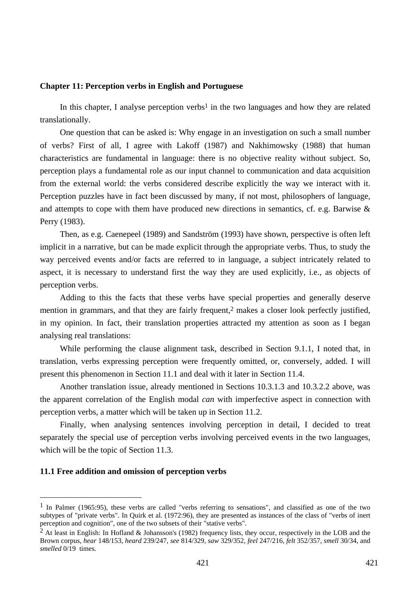### **Chapter 11: Perception verbs in English and Portuguese**

In this chapter, I analyse perception verbs<sup>1</sup> in the two languages and how they are related translationally.

One question that can be asked is: Why engage in an investigation on such a small number of verbs? First of all, I agree with Lakoff (1987) and Nakhimowsky (1988) that human characteristics are fundamental in language: there is no objective reality without subject. So, perception plays a fundamental role as our input channel to communication and data acquisition from the external world: the verbs considered describe explicitly the way we interact with it. Perception puzzles have in fact been discussed by many, if not most, philosophers of language, and attempts to cope with them have produced new directions in semantics, cf. e.g. Barwise & Perry (1983).

Then, as e.g. Caenepeel (1989) and Sandström (1993) have shown, perspective is often left implicit in a narrative, but can be made explicit through the appropriate verbs. Thus, to study the way perceived events and/or facts are referred to in language, a subject intricately related to aspect, it is necessary to understand first the way they are used explicitly, i.e., as objects of perception verbs.

Adding to this the facts that these verbs have special properties and generally deserve mention in grammars, and that they are fairly frequent,<sup>2</sup> makes a closer look perfectly justified, in my opinion. In fact, their translation properties attracted my attention as soon as I began analysing real translations:

While performing the clause alignment task, described in Section 9.1.1, I noted that, in translation, verbs expressing perception were frequently omitted, or, conversely, added. I will present this phenomenon in Section 11.1 and deal with it later in Section 11.4.

Another translation issue, already mentioned in Sections 10.3.1.3 and 10.3.2.2 above, was the apparent correlation of the English modal *can* with imperfective aspect in connection with perception verbs, a matter which will be taken up in Section 11.2.

Finally, when analysing sentences involving perception in detail, I decided to treat separately the special use of perception verbs involving perceived events in the two languages, which will be the topic of Section 11.3.

#### **11.1 Free addition and omission of perception verbs**

 $\overline{a}$ 

<sup>&</sup>lt;sup>1</sup> In Palmer (1965:95), these verbs are called "verbs referring to sensations", and classified as one of the two subtypes of "private verbs". In Quirk et al. (1972:96), they are presented as instances of the class of "verbs of inert perception and cognition", one of the two subsets of their "stative verbs".

<sup>2</sup> At least in English: In Hofland & Johansson's (1982) frequency lists, they occur, respectively in the LOB and the Brown corpus, *hear* 148/153, *heard* 239/247, *see* 814/329, *saw* 329/352, *feel* 247/216, *felt* 352/357, *smell* 30/34, and *smelled* 0/19 times.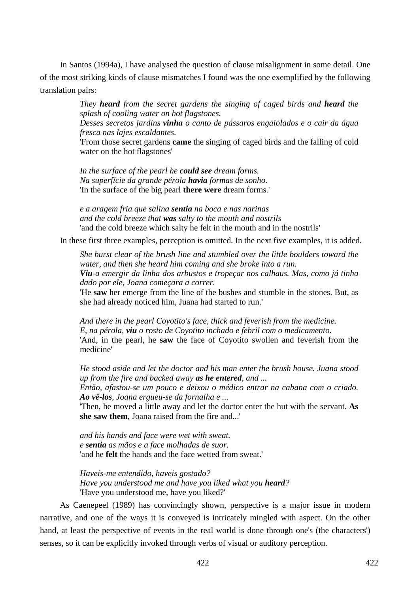In Santos (1994a), I have analysed the question of clause misalignment in some detail. One of the most striking kinds of clause mismatches I found was the one exemplified by the following translation pairs:

> *They heard from the secret gardens the singing of caged birds and heard the splash of cooling water on hot flagstones.*

> *Desses secretos jardins vinha o canto de pássaros engaiolados e o cair da água fresca nas lajes escaldantes.*

> 'From those secret gardens **came** the singing of caged birds and the falling of cold water on the hot flagstones'

*In the surface of the pearl he could see dream forms. Na superfície da grande pérola havia formas de sonho.*  'In the surface of the big pearl **there were** dream forms.'

*e a aragem fria que salina sentia na boca e nas narinas and the cold breeze that was salty to the mouth and nostrils*  'and the cold breeze which salty he felt in the mouth and in the nostrils'

In these first three examples, perception is omitted. In the next five examples, it is added.

*She burst clear of the brush line and stumbled over the little boulders toward the water, and then she heard him coming and she broke into a run. Viu-a emergir da linha dos arbustos e tropeçar nos calhaus. Mas, como já tinha dado por ele, Joana começara a correr.* 

'He **saw** her emerge from the line of the bushes and stumble in the stones. But, as she had already noticed him, Juana had started to run.'

*And there in the pearl Coyotito's face, thick and feverish from the medicine. E, na pérola, viu o rosto de Coyotito inchado e febril com o medicamento.*  'And, in the pearl, he **saw** the face of Coyotito swollen and feverish from the medicine'

*He stood aside and let the doctor and his man enter the brush house. Juana stood up from the fire and backed away as he entered, and ...* 

*Então, afastou-se um pouco e deixou o médico entrar na cabana com o criado. Ao vê-los, Joana ergueu-se da fornalha e ...* 

'Then, he moved a little away and let the doctor enter the hut with the servant. **As she saw them**, Joana raised from the fire and...'

*and his hands and face were wet with sweat. e sentia as mãos e a face molhadas de suor.*  'and he **felt** the hands and the face wetted from sweat.'

*Haveis-me entendido, haveis gostado? Have you understood me and have you liked what you heard?*  'Have you understood me, have you liked?'

As Caenepeel (1989) has convincingly shown, perspective is a major issue in modern narrative, and one of the ways it is conveyed is intricately mingled with aspect. On the other hand, at least the perspective of events in the real world is done through one's (the characters') senses, so it can be explicitly invoked through verbs of visual or auditory perception.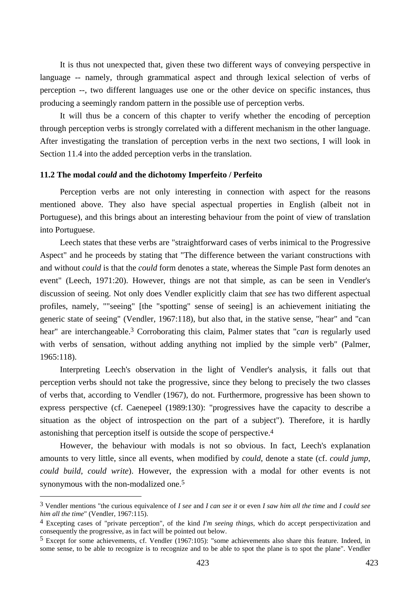It is thus not unexpected that, given these two different ways of conveying perspective in language -- namely, through grammatical aspect and through lexical selection of verbs of perception --, two different languages use one or the other device on specific instances, thus producing a seemingly random pattern in the possible use of perception verbs.

It will thus be a concern of this chapter to verify whether the encoding of perception through perception verbs is strongly correlated with a different mechanism in the other language. After investigating the translation of perception verbs in the next two sections, I will look in Section 11.4 into the added perception verbs in the translation.

### **11.2 The modal** *could* **and the dichotomy Imperfeito / Perfeito**

Perception verbs are not only interesting in connection with aspect for the reasons mentioned above. They also have special aspectual properties in English (albeit not in Portuguese), and this brings about an interesting behaviour from the point of view of translation into Portuguese.

Leech states that these verbs are "straightforward cases of verbs inimical to the Progressive Aspect" and he proceeds by stating that "The difference between the variant constructions with and without *could* is that the *could* form denotes a state, whereas the Simple Past form denotes an event" (Leech, 1971:20). However, things are not that simple, as can be seen in Vendler's discussion of seeing. Not only does Vendler explicitly claim that *see* has two different aspectual profiles, namely, ""seeing" [the "spotting" sense of seeing] is an achievement initiating the generic state of seeing" (Vendler, 1967:118), but also that, in the stative sense, "hear" and "can hear" are interchangeable.3 Corroborating this claim, Palmer states that "*can* is regularly used with verbs of sensation, without adding anything not implied by the simple verb" (Palmer, 1965:118).

Interpreting Leech's observation in the light of Vendler's analysis, it falls out that perception verbs should not take the progressive, since they belong to precisely the two classes of verbs that, according to Vendler (1967), do not. Furthermore, progressive has been shown to express perspective (cf. Caenepeel (1989:130): "progressives have the capacity to describe a situation as the object of introspection on the part of a subject"). Therefore, it is hardly astonishing that perception itself is outside the scope of perspective.4

However, the behaviour with modals is not so obvious. In fact, Leech's explanation amounts to very little, since all events, when modified by *could*, denote a state (cf. *could jump*, *could build*, *could write*). However, the expression with a modal for other events is not synonymous with the non-modalized one.<sup>5</sup>

 $\overline{a}$ 

<sup>3</sup> Vendler mentions "the curious equivalence of *I see* and *I can see it* or even *I saw him all the time* and *I could see him all the time*" (Vendler, 1967:115).

<sup>4</sup> Excepting cases of "private perception", of the kind *I'm seeing things*, which do accept perspectivization and consequently the progressive, as in fact will be pointed out below.

<sup>5</sup> Except for some achievements, cf. Vendler (1967:105): "some achievements also share this feature. Indeed, in some sense, to be able to recognize is to recognize and to be able to spot the plane is to spot the plane". Vendler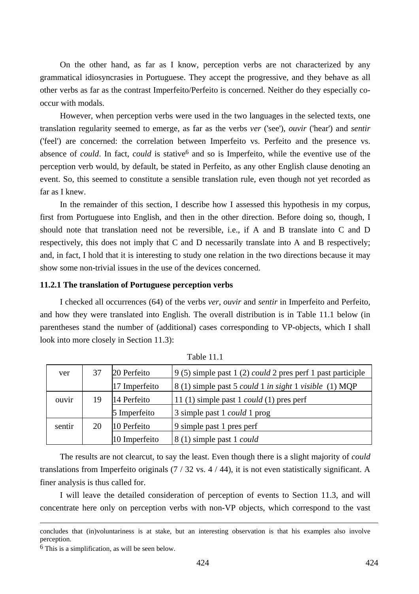On the other hand, as far as I know, perception verbs are not characterized by any grammatical idiosyncrasies in Portuguese. They accept the progressive, and they behave as all other verbs as far as the contrast Imperfeito/Perfeito is concerned. Neither do they especially cooccur with modals.

However, when perception verbs were used in the two languages in the selected texts, one translation regularity seemed to emerge, as far as the verbs *ver* ('see'), *ouvir* ('hear') and *sentir* ('feel') are concerned: the correlation between Imperfeito vs. Perfeito and the presence vs. absence of *could*. In fact, *could* is stative<sup>6</sup> and so is Imperfeito, while the eventive use of the perception verb would, by default, be stated in Perfeito, as any other English clause denoting an event. So, this seemed to constitute a sensible translation rule, even though not yet recorded as far as I knew.

In the remainder of this section, I describe how I assessed this hypothesis in my corpus, first from Portuguese into English, and then in the other direction. Before doing so, though, I should note that translation need not be reversible, i.e., if A and B translate into C and D respectively, this does not imply that C and D necessarily translate into A and B respectively; and, in fact, I hold that it is interesting to study one relation in the two directions because it may show some non-trivial issues in the use of the devices concerned.

### **11.2.1 The translation of Portuguese perception verbs**

I checked all occurrences (64) of the verbs *ver*, *ouvir* and *sentir* in Imperfeito and Perfeito, and how they were translated into English. The overall distribution is in Table 11.1 below (in parentheses stand the number of (additional) cases corresponding to VP-objects, which I shall look into more closely in Section 11.3):

| ver    | 37 | 20 Perfeito<br>$9(5)$ simple past 1 (2) could 2 pres perf 1 past participle |                                                                             |
|--------|----|-----------------------------------------------------------------------------|-----------------------------------------------------------------------------|
|        |    | 17 Imperfeito                                                               | 8 (1) simple past 5 <i>could</i> 1 <i>in sight</i> 1 <i>visible</i> (1) MQP |
| ouvir  | 19 | 14 Perfeito                                                                 | 11 $(1)$ simple past 1 <i>could</i> $(1)$ pres perf                         |
|        |    | 5 Imperfeito                                                                | 3 simple past 1 <i>could</i> 1 prog                                         |
| sentir | 20 | 10 Perfeito                                                                 | 9 simple past 1 pres perf                                                   |
|        |    | 10 Imperfeito                                                               | 8 (1) simple past 1 <i>could</i>                                            |

Table 11.1

The results are not clearcut, to say the least. Even though there is a slight majority of *could* translations from Imperfeito originals (7 / 32 vs. 4 / 44), it is not even statistically significant. A finer analysis is thus called for.

I will leave the detailed consideration of perception of events to Section 11.3, and will concentrate here only on perception verbs with non-VP objects, which correspond to the vast

concludes that (in)voluntariness is at stake, but an interesting observation is that his examples also involve perception.

<sup>6</sup> This is a simplification, as will be seen below.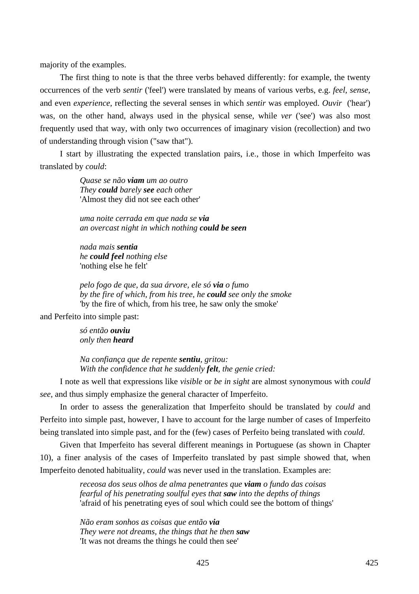majority of the examples.

The first thing to note is that the three verbs behaved differently: for example, the twenty occurrences of the verb *sentir* ('feel') were translated by means of various verbs, e.g. *feel*, *sense*, and even *experience*, reflecting the several senses in which *sentir* was employed. *Ouvir* ('hear') was, on the other hand, always used in the physical sense, while *ver* ('see') was also most frequently used that way, with only two occurrences of imaginary vision (recollection) and two of understanding through vision ("saw that").

I start by illustrating the expected translation pairs, i.e., those in which Imperfeito was translated by *could*:

> *Quase se não viam um ao outro They could barely see each other*  'Almost they did not see each other'

*uma noite cerrada em que nada se via an overcast night in which nothing could be seen* 

*nada mais sentia he could feel nothing else*  'nothing else he felt'

*pelo fogo de que, da sua árvore, ele só via o fumo by the fire of which, from his tree, he could see only the smoke*  'by the fire of which, from his tree, he saw only the smoke'

and Perfeito into simple past:

*só então ouviu only then heard* 

*Na confiança que de repente sentiu, gritou: With the confidence that he suddenly felt, the genie cried:* 

I note as well that expressions like *visible* or *be in sight* are almost synonymous with *could see*, and thus simply emphasize the general character of Imperfeito.

In order to assess the generalization that Imperfeito should be translated by *could* and Perfeito into simple past, however, I have to account for the large number of cases of Imperfeito being translated into simple past, and for the (few) cases of Perfeito being translated with *could*.

Given that Imperfeito has several different meanings in Portuguese (as shown in Chapter 10), a finer analysis of the cases of Imperfeito translated by past simple showed that, when Imperfeito denoted habituality, *could* was never used in the translation. Examples are:

> *receosa dos seus olhos de alma penetrantes que viam o fundo das coisas fearful of his penetrating soulful eyes that saw into the depths of things*  'afraid of his penetrating eyes of soul which could see the bottom of things'

*Não eram sonhos as coisas que então via They were not dreams, the things that he then saw*  'It was not dreams the things he could then see'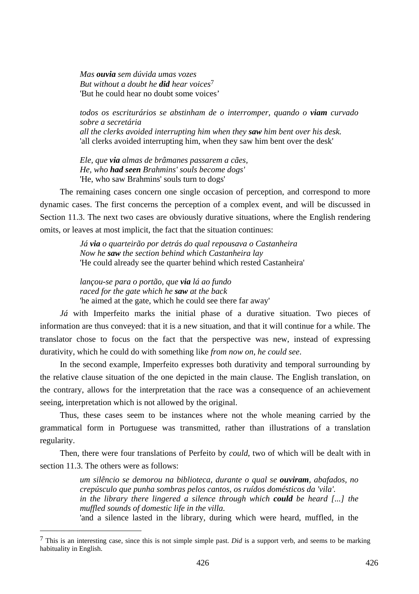*Mas ouvia sem dúvida umas vozes But without a doubt he did hear voices*7 'But he could hear no doubt some voices'

*todos os escriturários se abstinham de o interromper, quando o viam curvado sobre a secretária all the clerks avoided interrupting him when they saw him bent over his desk.*  'all clerks avoided interrupting him, when they saw him bent over the desk'

*Ele, que via almas de brâmanes passarem a cães, He, who had seen Brahmins' souls become dogs'*  'He, who saw Brahmins' souls turn to dogs'

The remaining cases concern one single occasion of perception, and correspond to more dynamic cases. The first concerns the perception of a complex event, and will be discussed in Section 11.3. The next two cases are obviously durative situations, where the English rendering omits, or leaves at most implicit, the fact that the situation continues:

> *Já via o quarteirão por detrás do qual repousava o Castanheira Now he saw the section behind which Castanheira lay*  'He could already see the quarter behind which rested Castanheira'

*lançou-se para o portão, que via lá ao fundo raced for the gate which he saw at the back*  'he aimed at the gate, which he could see there far away'

*Já* with Imperfeito marks the initial phase of a durative situation. Two pieces of information are thus conveyed: that it is a new situation, and that it will continue for a while. The translator chose to focus on the fact that the perspective was new, instead of expressing durativity, which he could do with something like *from now on, he could see*.

In the second example, Imperfeito expresses both durativity and temporal surrounding by the relative clause situation of the one depicted in the main clause. The English translation, on the contrary, allows for the interpretation that the race was a consequence of an achievement seeing, interpretation which is not allowed by the original.

Thus, these cases seem to be instances where not the whole meaning carried by the grammatical form in Portuguese was transmitted, rather than illustrations of a translation regularity.

Then, there were four translations of Perfeito by *could*, two of which will be dealt with in section 11.3. The others were as follows:

> *um silêncio se demorou na biblioteca, durante o qual se ouviram, abafados, no crepúsculo que punha sombras pelos cantos, os ruídos domésticos da 'vila'. in the library there lingered a silence through which could be heard [...] the muffled sounds of domestic life in the villa.*  'and a silence lasted in the library, during which were heard, muffled, in the

 $\overline{a}$ 

<sup>7</sup> This is an interesting case, since this is not simple simple past. *Did* is a support verb, and seems to be marking habituality in English.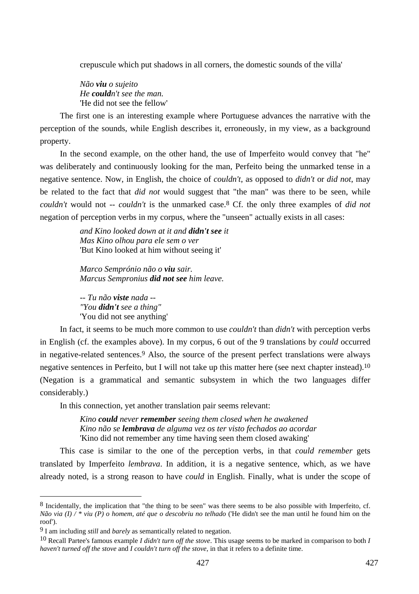crepuscule which put shadows in all corners, the domestic sounds of the villa'

*Não viu o sujeito He couldn't see the man.*  'He did not see the fellow'

The first one is an interesting example where Portuguese advances the narrative with the perception of the sounds, while English describes it, erroneously, in my view, as a background property.

In the second example, on the other hand, the use of Imperfeito would convey that "he" was deliberately and continuously looking for the man, Perfeito being the unmarked tense in a negative sentence. Now, in English, the choice of *couldn't*, as opposed to *didn't* or *did not*, may be related to the fact that *did not* would suggest that "the man" was there to be seen, while *couldn't* would not -- *couldn't* is the unmarked case.8 Cf. the only three examples of *did not*  negation of perception verbs in my corpus, where the "unseen" actually exists in all cases:

> *and Kino looked down at it and didn't see it Mas Kino olhou para ele sem o ver*  'But Kino looked at him without seeing it'

*Marco Semprónio não o viu sair. Marcus Sempronius did not see him leave.* 

*-- Tu não viste nada -- "You didn't see a thing"*  'You did not see anything'

In fact, it seems to be much more common to use *couldn't* than *didn't* with perception verbs in English (cf. the examples above). In my corpus, 6 out of the 9 translations by *could* occurred in negative-related sentences.9 Also, the source of the present perfect translations were always negative sentences in Perfeito, but I will not take up this matter here (see next chapter instead).10 (Negation is a grammatical and semantic subsystem in which the two languages differ considerably.)

In this connection, yet another translation pair seems relevant:

*Kino could never remember seeing them closed when he awakened Kino não se lembrava de alguma vez os ter visto fechados ao acordar*  'Kino did not remember any time having seen them closed awaking'

This case is similar to the one of the perception verbs, in that *could remember* gets translated by Imperfeito *lembrava*. In addition, it is a negative sentence, which, as we have already noted, is a strong reason to have *could* in English. Finally, what is under the scope of

 $\overline{a}$ 

<sup>8</sup> Incidentally, the implication that "the thing to be seen" was there seems to be also possible with Imperfeito, cf. *Não via (I) / \* viu (P) o homem, até que o descobriu no telhado* ('He didn't see the man until he found him on the roof').

<sup>9</sup> I am including *still* and *barely* as semantically related to negation.

<sup>10</sup> Recall Partee's famous example *I didn't turn off the stove*. This usage seems to be marked in comparison to both *I haven't turned off the stove* and *I couldn't turn off the stove*, in that it refers to a definite time.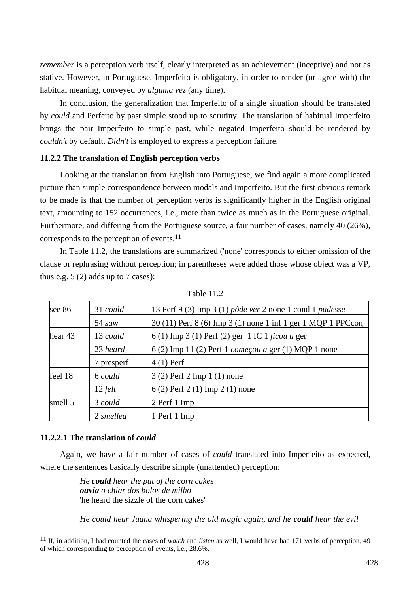*remember* is a perception verb itself, clearly interpreted as an achievement (inceptive) and not as stative. However, in Portuguese, Imperfeito is obligatory, in order to render (or agree with) the habitual meaning, conveyed by *alguma vez* (any time).

In conclusion, the generalization that Imperfeito of a single situation should be translated by *could* and Perfeito by past simple stood up to scrutiny. The translation of habitual Imperfeito brings the pair Imperfeito to simple past, while negated Imperfeito should be rendered by *couldn't* by default. *Didn't* is employed to express a perception failure.

### **11.2.2 The translation of English perception verbs**

Looking at the translation from English into Portuguese, we find again a more complicated picture than simple correspondence between modals and Imperfeito. But the first obvious remark to be made is that the number of perception verbs is significantly higher in the English original text, amounting to 152 occurrences, i.e., more than twice as much as in the Portuguese original. Furthermore, and differing from the Portuguese source, a fair number of cases, namely 40 (26%), corresponds to the perception of events.11

In Table 11.2, the translations are summarized ('none' corresponds to either omission of the clause or rephrasing without perception; in parentheses were added those whose object was a VP, thus e.g.  $5(2)$  adds up to 7 cases):

| 31 could    | 13 Perf 9 (3) Imp 3 (1) $p\hat{o}de$ ver 2 none 1 cond 1 pudesse |  |
|-------------|------------------------------------------------------------------|--|
| $54 \, saw$ | 30 (11) Perf 8 (6) Imp 3 (1) none 1 inf 1 ger 1 MQP 1 PPCconj    |  |
| 13 could    | 6(1) Imp 3(1) Perf (2) ger 1 IC 1 ficou a ger                    |  |
| 23 heard    | 6(2) Imp 11(2) Perf 1 <i>começou a</i> ger (1) MQP 1 none        |  |
| 7 presperf  | $4(1)$ Perf                                                      |  |
| 6 could     | 3 (2) Perf 2 Imp 1 (1) none                                      |  |
| $12$ felt   | 6 (2) Perf 2 (1) Imp 2 (1) none                                  |  |
| 3 could     | 2 Perf 1 Imp                                                     |  |
| 2 smelled   | 1 Perf 1 Imp                                                     |  |
|             |                                                                  |  |

Table 11.2

## **11.2.2.1 The translation of** *could*

 $\overline{a}$ 

Again, we have a fair number of cases of *could* translated into Imperfeito as expected, where the sentences basically describe simple (unattended) perception:

> *He could hear the pat of the corn cakes ouvia o chiar dos bolos de milho*  'he heard the sizzle of the corn cakes'

*He could hear Juana whispering the old magic again, and he could hear the evil* 

<sup>11</sup> If, in addition, I had counted the cases of *watch* and *listen* as well, I would have had 171 verbs of perception, 49 of which corresponding to perception of events, i.e., 28.6%.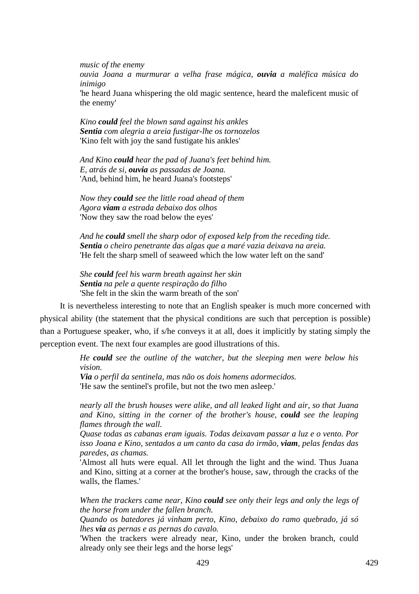*music of the enemy* 

*ouvia Joana a murmurar a velha frase mágica, ouvia a maléfica música do inimigo* 

'he heard Juana whispering the old magic sentence, heard the maleficent music of the enemy'

*Kino could feel the blown sand against his ankles Sentia com alegria a areia fustigar-lhe os tornozelos*  'Kino felt with joy the sand fustigate his ankles'

*And Kino could hear the pad of Juana's feet behind him. E, atrás de si, ouvia as passadas de Joana.*  'And, behind him, he heard Juana's footsteps'

*Now they could see the little road ahead of them Agora viam a estrada debaixo dos olhos*  'Now they saw the road below the eyes'

*And he could smell the sharp odor of exposed kelp from the receding tide. Sentia o cheiro penetrante das algas que a maré vazia deixava na areia.*  'He felt the sharp smell of seaweed which the low water left on the sand'

*She could feel his warm breath against her skin Sentia na pele a quente respiração do filho*  'She felt in the skin the warm breath of the son'

It is nevertheless interesting to note that an English speaker is much more concerned with physical ability (the statement that the physical conditions are such that perception is possible) than a Portuguese speaker, who, if s/he conveys it at all, does it implicitly by stating simply the perception event. The next four examples are good illustrations of this.

> *He could see the outline of the watcher, but the sleeping men were below his vision.*

*Via o perfil da sentinela, mas não os dois homens adormecidos.*  'He saw the sentinel's profile, but not the two men asleep.'

*nearly all the brush houses were alike, and all leaked light and air, so that Juana and Kino, sitting in the corner of the brother's house, could see the leaping flames through the wall.* 

*Quase todas as cabanas eram iguais. Todas deixavam passar a luz e o vento. Por isso Joana e Kino, sentados a um canto da casa do irmão, viam, pelas fendas das paredes, as chamas.* 

'Almost all huts were equal. All let through the light and the wind. Thus Juana and Kino, sitting at a corner at the brother's house, saw, through the cracks of the walls, the flames.'

*When the trackers came near, Kino could see only their legs and only the legs of the horse from under the fallen branch.* 

*Quando os batedores já vinham perto, Kino, debaixo do ramo quebrado, já só lhes via as pernas e as pernas do cavalo.* 

'When the trackers were already near, Kino, under the broken branch, could already only see their legs and the horse legs'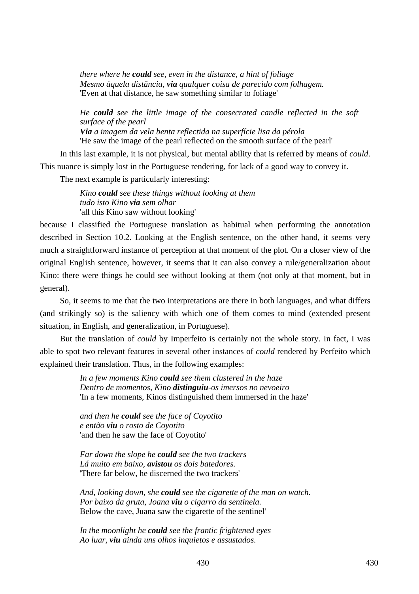*there where he could see, even in the distance, a hint of foliage Mesmo àquela distância, via qualquer coisa de parecido com folhagem.*  'Even at that distance, he saw something similar to foliage'

*He could see the little image of the consecrated candle reflected in the soft surface of the pearl* 

*Via a imagem da vela benta reflectida na superfície lisa da pérola*  'He saw the image of the pearl reflected on the smooth surface of the pearl'

In this last example, it is not physical, but mental ability that is referred by means of *could*. This nuance is simply lost in the Portuguese rendering, for lack of a good way to convey it.

The next example is particularly interesting:

*Kino could see these things without looking at them tudo isto Kino via sem olhar*  'all this Kino saw without looking'

because I classified the Portuguese translation as habitual when performing the annotation described in Section 10.2. Looking at the English sentence, on the other hand, it seems very much a straightforward instance of perception at that moment of the plot. On a closer view of the original English sentence, however, it seems that it can also convey a rule/generalization about Kino: there were things he could see without looking at them (not only at that moment, but in general).

So, it seems to me that the two interpretations are there in both languages, and what differs (and strikingly so) is the saliency with which one of them comes to mind (extended present situation, in English, and generalization, in Portuguese).

But the translation of *could* by Imperfeito is certainly not the whole story. In fact, I was able to spot two relevant features in several other instances of *could* rendered by Perfeito which explained their translation. Thus, in the following examples:

> *In a few moments Kino could see them clustered in the haze Dentro de momentos, Kino distinguiu-os imersos no nevoeiro*  'In a few moments, Kinos distinguished them immersed in the haze'

*and then he could see the face of Coyotito e então viu o rosto de Coyotito*  'and then he saw the face of Coyotito'

*Far down the slope he could see the two trackers Lá muito em baixo, avistou os dois batedores.*  'There far below, he discerned the two trackers'

*And, looking down, she could see the cigarette of the man on watch. Por baixo da gruta, Joana viu o cigarro da sentinela.*  Below the cave, Juana saw the cigarette of the sentinel'

*In the moonlight he could see the frantic frightened eyes Ao luar, viu ainda uns olhos inquietos e assustados.*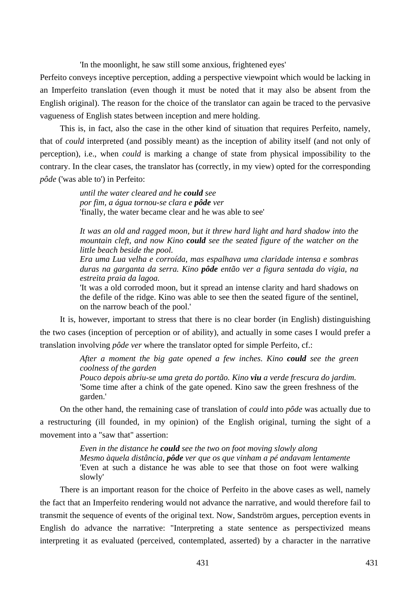'In the moonlight, he saw still some anxious, frightened eyes'

Perfeito conveys inceptive perception, adding a perspective viewpoint which would be lacking in an Imperfeito translation (even though it must be noted that it may also be absent from the English original). The reason for the choice of the translator can again be traced to the pervasive vagueness of English states between inception and mere holding.

This is, in fact, also the case in the other kind of situation that requires Perfeito, namely, that of *could* interpreted (and possibly meant) as the inception of ability itself (and not only of perception), i.e., when *could* is marking a change of state from physical impossibility to the contrary. In the clear cases, the translator has (correctly, in my view) opted for the corresponding *pôde* ('was able to') in Perfeito:

> *until the water cleared and he could see por fim, a água tornou-se clara e pôde ver*  'finally, the water became clear and he was able to see'

*It was an old and ragged moon, but it threw hard light and hard shadow into the mountain cleft, and now Kino could see the seated figure of the watcher on the little beach beside the pool.* 

*Era uma Lua velha e corroída, mas espalhava uma claridade intensa e sombras duras na garganta da serra. Kino pôde então ver a figura sentada do vigia, na estreita praia da lagoa.* 

'It was a old corroded moon, but it spread an intense clarity and hard shadows on the defile of the ridge. Kino was able to see then the seated figure of the sentinel, on the narrow beach of the pool.'

It is, however, important to stress that there is no clear border (in English) distinguishing the two cases (inception of perception or of ability), and actually in some cases I would prefer a translation involving *pôde ver* where the translator opted for simple Perfeito, cf.:

> *After a moment the big gate opened a few inches. Kino could see the green coolness of the garden*

> *Pouco depois abriu-se uma greta do portão. Kino viu a verde frescura do jardim.*  'Some time after a chink of the gate opened. Kino saw the green freshness of the garden.'

On the other hand, the remaining case of translation of *could* into *pôde* was actually due to a restructuring (ill founded, in my opinion) of the English original, turning the sight of a movement into a "saw that" assertion:

> *Even in the distance he could see the two on foot moving slowly along Mesmo àquela distância, pôde ver que os que vinham a pé andavam lentamente*  'Even at such a distance he was able to see that those on foot were walking slowly'

There is an important reason for the choice of Perfeito in the above cases as well, namely the fact that an Imperfeito rendering would not advance the narrative, and would therefore fail to transmit the sequence of events of the original text. Now, Sandström argues, perception events in English do advance the narrative: "Interpreting a state sentence as perspectivized means interpreting it as evaluated (perceived, contemplated, asserted) by a character in the narrative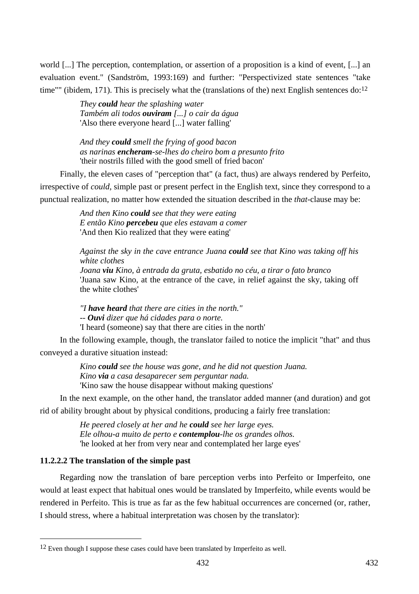world [...] The perception, contemplation, or assertion of a proposition is a kind of event, [...] an evaluation event." (Sandström, 1993:169) and further: "Perspectivized state sentences "take time"" (ibidem, 171). This is precisely what the (translations of the) next English sentences  $d_0$ :<sup>12</sup>

> *They could hear the splashing water Também ali todos ouviram [...] o cair da água*  'Also there everyone heard [...] water falling'

*And they could smell the frying of good bacon as narinas encheram-se-lhes do cheiro bom a presunto frito*  'their nostrils filled with the good smell of fried bacon'

Finally, the eleven cases of "perception that" (a fact, thus) are always rendered by Perfeito, irrespective of *could*, simple past or present perfect in the English text, since they correspond to a punctual realization, no matter how extended the situation described in the *that*-clause may be:

> *And then Kino could see that they were eating E então Kino percebeu que eles estavam a comer*  'And then Kio realized that they were eating'

*Against the sky in the cave entrance Juana could see that Kino was taking off his white clothes Joana viu Kino, à entrada da gruta, esbatido no céu, a tirar o fato branco* 

'Juana saw Kino, at the entrance of the cave, in relief against the sky, taking off the white clothes'

*"I have heard that there are cities in the north." -- Ouvi dizer que há cidades para o norte.*  'I heard (someone) say that there are cities in the north'

In the following example, though, the translator failed to notice the implicit "that" and thus conveyed a durative situation instead:

> *Kino could see the house was gone, and he did not question Juana. Kino via a casa desaparecer sem perguntar nada.*  'Kino saw the house disappear without making questions'

In the next example, on the other hand, the translator added manner (and duration) and got rid of ability brought about by physical conditions, producing a fairly free translation:

> *He peered closely at her and he could see her large eyes. Ele olhou-a muito de perto e contemplou-lhe os grandes olhos.*  'he looked at her from very near and contemplated her large eyes'

# **11.2.2.2 The translation of the simple past**

 $\overline{a}$ 

Regarding now the translation of bare perception verbs into Perfeito or Imperfeito, one would at least expect that habitual ones would be translated by Imperfeito, while events would be rendered in Perfeito. This is true as far as the few habitual occurrences are concerned (or, rather, I should stress, where a habitual interpretation was chosen by the translator):

<sup>&</sup>lt;sup>12</sup> Even though I suppose these cases could have been translated by Imperfeito as well.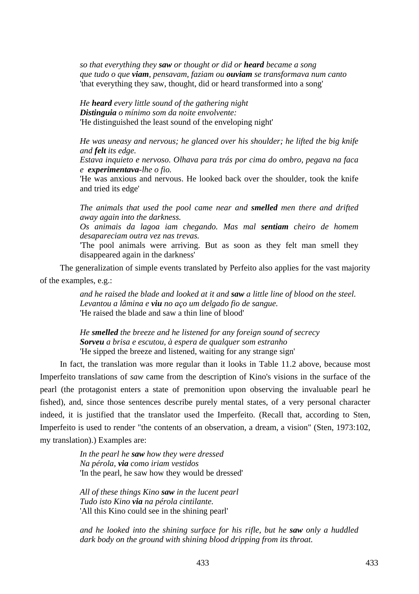*so that everything they saw or thought or did or heard became a song que tudo o que viam, pensavam, faziam ou ouviam se transformava num canto*  'that everything they saw, thought, did or heard transformed into a song'

*He heard every little sound of the gathering night Distinguia o mínimo som da noite envolvente:*  'He distinguished the least sound of the enveloping night'

*He was uneasy and nervous; he glanced over his shoulder; he lifted the big knife and felt its edge.* 

*Estava inquieto e nervoso. Olhava para trás por cima do ombro, pegava na faca e experimentava-lhe o fio.* 

'He was anxious and nervous. He looked back over the shoulder, took the knife and tried its edge'

*The animals that used the pool came near and smelled men there and drifted away again into the darkness.* 

*Os animais da lagoa iam chegando. Mas mal sentiam cheiro de homem desapareciam outra vez nas trevas.* 

'The pool animals were arriving. But as soon as they felt man smell they disappeared again in the darkness'

The generalization of simple events translated by Perfeito also applies for the vast majority of the examples, e.g.:

> *and he raised the blade and looked at it and saw a little line of blood on the steel. Levantou a lâmina e viu no aço um delgado fio de sangue.*  'He raised the blade and saw a thin line of blood'

*He smelled the breeze and he listened for any foreign sound of secrecy Sorveu a brisa e escutou, à espera de qualquer som estranho*  'He sipped the breeze and listened, waiting for any strange sign'

In fact, the translation was more regular than it looks in Table 11.2 above, because most Imperfeito translations of *saw* came from the description of Kino's visions in the surface of the pearl (the protagonist enters a state of premonition upon observing the invaluable pearl he fished), and, since those sentences describe purely mental states, of a very personal character indeed, it is justified that the translator used the Imperfeito. (Recall that, according to Sten, Imperfeito is used to render "the contents of an observation, a dream, a vision" (Sten, 1973:102, my translation).) Examples are:

> *In the pearl he saw how they were dressed Na pérola, via como iriam vestidos*  'In the pearl, he saw how they would be dressed'

*All of these things Kino saw in the lucent pearl Tudo isto Kino via na pérola cintilante.*  'All this Kino could see in the shining pearl'

*and he looked into the shining surface for his rifle, but he saw only a huddled dark body on the ground with shining blood dripping from its throat.*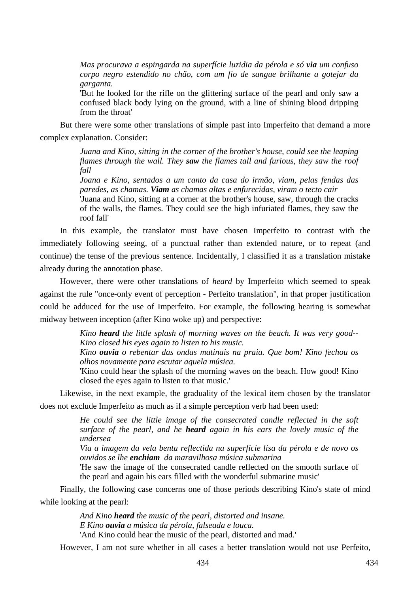*Mas procurava a espingarda na superfície luzidia da pérola e só via um confuso corpo negro estendido no chão, com um fio de sangue brilhante a gotejar da garganta.* 

'But he looked for the rifle on the glittering surface of the pearl and only saw a confused black body lying on the ground, with a line of shining blood dripping from the throat'

But there were some other translations of simple past into Imperfeito that demand a more complex explanation. Consider:

> *Juana and Kino, sitting in the corner of the brother's house, could see the leaping flames through the wall. They saw the flames tall and furious, they saw the roof fall*

> *Joana e Kino, sentados a um canto da casa do irmão, viam, pelas fendas das paredes, as chamas. Viam as chamas altas e enfurecidas, viram o tecto cair*  'Juana and Kino, sitting at a corner at the brother's house, saw, through the cracks of the walls, the flames. They could see the high infuriated flames, they saw the roof fall'

In this example, the translator must have chosen Imperfeito to contrast with the immediately following seeing, of a punctual rather than extended nature, or to repeat (and continue) the tense of the previous sentence. Incidentally, I classified it as a translation mistake already during the annotation phase.

However, there were other translations of *heard* by Imperfeito which seemed to speak against the rule "once-only event of perception - Perfeito translation", in that proper justification could be adduced for the use of Imperfeito. For example, the following hearing is somewhat midway between inception (after Kino woke up) and perspective:

> *Kino heard the little splash of morning waves on the beach. It was very good-- Kino closed his eyes again to listen to his music.*

> *Kino ouvia o rebentar das ondas matinais na praia. Que bom! Kino fechou os olhos novamente para escutar aquela música.*

> 'Kino could hear the splash of the morning waves on the beach. How good! Kino closed the eyes again to listen to that music.'

Likewise, in the next example, the graduality of the lexical item chosen by the translator does not exclude Imperfeito as much as if a simple perception verb had been used:

> *He could see the little image of the consecrated candle reflected in the soft surface of the pearl, and he heard again in his ears the lovely music of the undersea*

> *Via a imagem da vela benta reflectida na superfície lisa da pérola e de novo os ouvidos se lhe enchiam da maravilhosa música submarina*

> 'He saw the image of the consecrated candle reflected on the smooth surface of the pearl and again his ears filled with the wonderful submarine music'

Finally, the following case concerns one of those periods describing Kino's state of mind while looking at the pearl:

> *And Kino heard the music of the pearl, distorted and insane. E Kino ouvia a música da pérola, falseada e louca.*  'And Kino could hear the music of the pearl, distorted and mad.'

However, I am not sure whether in all cases a better translation would not use Perfeito,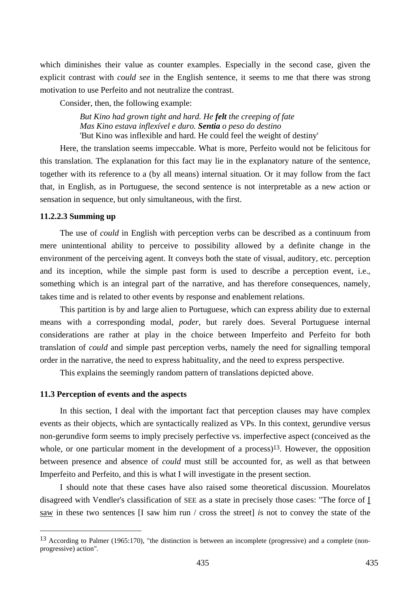which diminishes their value as counter examples. Especially in the second case, given the explicit contrast with *could see* in the English sentence, it seems to me that there was strong motivation to use Perfeito and not neutralize the contrast.

Consider, then, the following example:

*But Kino had grown tight and hard. He felt the creeping of fate Mas Kino estava inflexível e duro. Sentia o peso do destino*  'But Kino was inflexible and hard. He could feel the weight of destiny'

Here, the translation seems impeccable. What is more, Perfeito would not be felicitous for this translation. The explanation for this fact may lie in the explanatory nature of the sentence, together with its reference to a (by all means) internal situation. Or it may follow from the fact that, in English, as in Portuguese, the second sentence is not interpretable as a new action or sensation in sequence, but only simultaneous, with the first.

## **11.2.2.3 Summing up**

 $\overline{a}$ 

The use of *could* in English with perception verbs can be described as a continuum from mere unintentional ability to perceive to possibility allowed by a definite change in the environment of the perceiving agent. It conveys both the state of visual, auditory, etc. perception and its inception, while the simple past form is used to describe a perception event, i.e., something which is an integral part of the narrative, and has therefore consequences, namely, takes time and is related to other events by response and enablement relations.

This partition is by and large alien to Portuguese, which can express ability due to external means with a corresponding modal, *poder*, but rarely does. Several Portuguese internal considerations are rather at play in the choice between Imperfeito and Perfeito for both translation of *could* and simple past perception verbs, namely the need for signalling temporal order in the narrative, the need to express habituality, and the need to express perspective.

This explains the seemingly random pattern of translations depicted above.

### **11.3 Perception of events and the aspects**

In this section, I deal with the important fact that perception clauses may have complex events as their objects, which are syntactically realized as VPs. In this context, gerundive versus non-gerundive form seems to imply precisely perfective vs. imperfective aspect (conceived as the whole, or one particular moment in the development of a process)<sup>13</sup>. However, the opposition between presence and absence of *could* must still be accounted for, as well as that between Imperfeito and Perfeito, and this is what I will investigate in the present section.

I should note that these cases have also raised some theoretical discussion. Mourelatos disagreed with Vendler's classification of SEE as a state in precisely those cases: "The force of I saw in these two sentences [I saw him run / cross the street] *i*s not to convey the state of the

<sup>13</sup> According to Palmer (1965:170), "the distinction is between an incomplete (progressive) and a complete (nonprogressive) action"*.*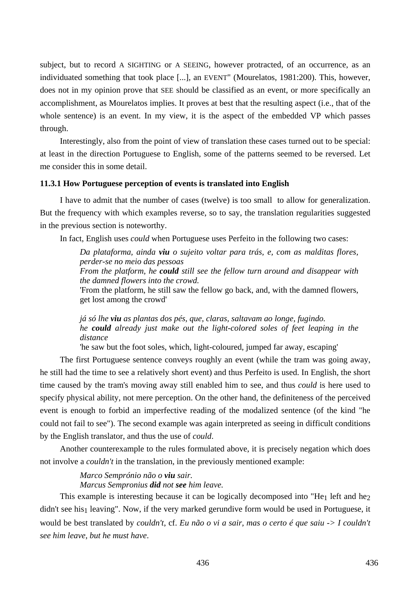subject, but to record A SIGHTING or A SEEING, however protracted, of an occurrence, as an individuated something that took place [...], an EVENT" (Mourelatos, 1981:200). This, however, does not in my opinion prove that SEE should be classified as an event, or more specifically an accomplishment, as Mourelatos implies. It proves at best that the resulting aspect (i.e., that of the whole sentence) is an event. In my view, it is the aspect of the embedded VP which passes through.

Interestingly, also from the point of view of translation these cases turned out to be special: at least in the direction Portuguese to English, some of the patterns seemed to be reversed. Let me consider this in some detail.

## **11.3.1 How Portuguese perception of events is translated into English**

I have to admit that the number of cases (twelve) is too small to allow for generalization. But the frequency with which examples reverse, so to say, the translation regularities suggested in the previous section is noteworthy.

In fact, English uses *could* when Portuguese uses Perfeito in the following two cases:

*Da plataforma, ainda viu o sujeito voltar para trás, e, com as malditas flores, perder-se no meio das pessoas From the platform, he could still see the fellow turn around and disappear with the damned flowers into the crowd.*  'From the platform, he still saw the fellow go back, and, with the damned flowers, get lost among the crowd'

*já só lhe viu as plantas dos pés, que, claras, saltavam ao longe, fugindo. he could already just make out the light-colored soles of feet leaping in the distance* 

'he saw but the foot soles, which, light-coloured, jumped far away, escaping'

The first Portuguese sentence conveys roughly an event (while the tram was going away, he still had the time to see a relatively short event) and thus Perfeito is used. In English, the short time caused by the tram's moving away still enabled him to see, and thus *could* is here used to specify physical ability, not mere perception. On the other hand, the definiteness of the perceived event is enough to forbid an imperfective reading of the modalized sentence (of the kind "he could not fail to see"). The second example was again interpreted as seeing in difficult conditions by the English translator, and thus the use of *could*.

Another counterexample to the rules formulated above, it is precisely negation which does not involve a *couldn't* in the translation, in the previously mentioned example:

> *Marco Semprónio não o viu sair. Marcus Sempronius did not see him leave.*

This example is interesting because it can be logically decomposed into "He<sub>1</sub> left and he<sub>2</sub>  $\frac{d}{dx}$  didn't see his<sub>1</sub> leaving". Now, if the very marked gerundive form would be used in Portuguese, it would be best translated by *couldn't*, cf. *Eu não o vi a sair, mas o certo é que saiu -> I couldn't see him leave, but he must have*.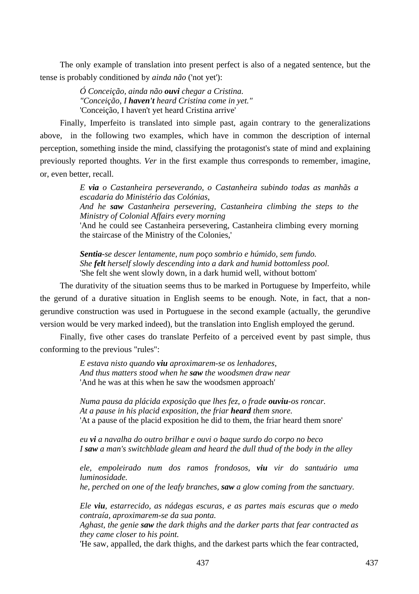The only example of translation into present perfect is also of a negated sentence, but the tense is probably conditioned by *ainda não* ('not yet'):

> *Ó Conceição, ainda não ouvi chegar a Cristina. "Conceição, I haven't heard Cristina come in yet."*  'Conceição, I haven't yet heard Cristina arrive'

Finally, Imperfeito is translated into simple past, again contrary to the generalizations above, in the following two examples, which have in common the description of internal perception, something inside the mind, classifying the protagonist's state of mind and explaining previously reported thoughts. *Ver* in the first example thus corresponds to remember, imagine, or, even better, recall.

> *E via o Castanheira perseverando, o Castanheira subindo todas as manhãs a escadaria do Ministério das Colónias,*

> *And he saw Castanheira persevering, Castanheira climbing the steps to the Ministry of Colonial Affairs every morning*

> 'And he could see Castanheira persevering, Castanheira climbing every morning the staircase of the Ministry of the Colonies,'

*Sentia-se descer lentamente, num poço sombrio e húmido, sem fundo. She felt herself slowly descending into a dark and humid bottomless pool.*  'She felt she went slowly down, in a dark humid well, without bottom'

The durativity of the situation seems thus to be marked in Portuguese by Imperfeito, while the gerund of a durative situation in English seems to be enough. Note, in fact, that a nongerundive construction was used in Portuguese in the second example (actually, the gerundive version would be very marked indeed), but the translation into English employed the gerund.

Finally, five other cases do translate Perfeito of a perceived event by past simple, thus conforming to the previous "rules":

> *E estava nisto quando viu aproximarem-se os lenhadores, And thus matters stood when he saw the woodsmen draw near*  'And he was at this when he saw the woodsmen approach'

*Numa pausa da plácida exposição que lhes fez, o frade ouviu-os roncar. At a pause in his placid exposition, the friar heard them snore.*  'At a pause of the placid exposition he did to them, the friar heard them snore'

*eu vi a navalha do outro brilhar e ouvi o baque surdo do corpo no beco I saw a man's switchblade gleam and heard the dull thud of the body in the alley* 

*ele, empoleirado num dos ramos frondosos, viu vir do santuário uma luminosidade.* 

*he, perched on one of the leafy branches, saw a glow coming from the sanctuary.* 

*Ele viu, estarrecido, as nádegas escuras, e as partes mais escuras que o medo contraía, aproximarem-se da sua ponta.* 

*Aghast, the genie saw the dark thighs and the darker parts that fear contracted as they came closer to his point.* 

'He saw, appalled, the dark thighs, and the darkest parts which the fear contracted,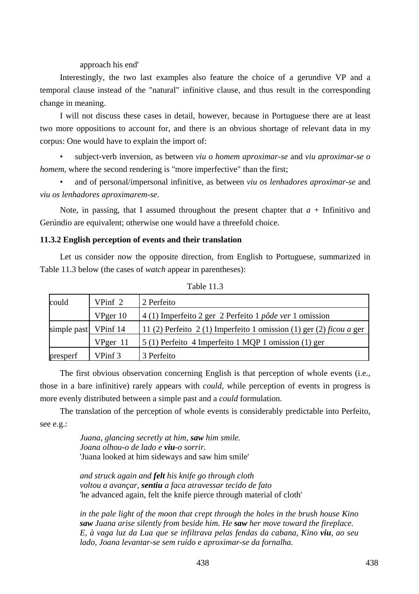approach his end'

Interestingly, the two last examples also feature the choice of a gerundive VP and a temporal clause instead of the "natural" infinitive clause, and thus result in the corresponding change in meaning.

I will not discuss these cases in detail, however, because in Portuguese there are at least two more oppositions to account for, and there is an obvious shortage of relevant data in my corpus: One would have to explain the import of:

• subject-verb inversion, as between *viu o homem aproximar-se* and *viu aproximar-se o homem*, where the second rendering is "more imperfective" than the first;

• and of personal/impersonal infinitive, as between *viu os lenhadores aproximar-se* and *viu os lenhadores aproximarem-se*.

Note, in passing, that I assumed throughout the present chapter that  $a +$  Infinitivo and Gerúndio are equivalent; otherwise one would have a threefold choice.

## **11.3.2 English perception of events and their translation**

Let us consider now the opposite direction, from English to Portuguese, summarized in Table 11.3 below (the cases of *watch* appear in parentheses):

| could                | VPinf 2     | 2 Perfeito                                                          |
|----------------------|-------------|---------------------------------------------------------------------|
|                      | VPger 10    | 4 (1) Imperfeito 2 ger 2 Perfeito 1 pôde ver 1 omission             |
| simple past VPinf 14 |             | 11 (2) Perfeito 2 (1) Imperfeito 1 omission (1) ger (2) ficou a ger |
|                      | $V$ Pger 11 | 5 (1) Perfeito 4 Imperfeito 1 MQP 1 omission (1) ger                |
| presperf             | VPinf 3     | 3 Perfeito                                                          |

Table 11.3

The first obvious observation concerning English is that perception of whole events (i.e., those in a bare infinitive) rarely appears with *could*, while perception of events in progress is more evenly distributed between a simple past and a *could* formulation.

The translation of the perception of whole events is considerably predictable into Perfeito, see e.g.:

> *Juana, glancing secretly at him, saw him smile. Joana olhou-o de lado e viu-o sorrir.*  'Juana looked at him sideways and saw him smile'

*and struck again and felt his knife go through cloth voltou a avançar, sentiu a faca atravessar tecido de fato*  'he advanced again, felt the knife pierce through material of cloth'

*in the pale light of the moon that crept through the holes in the brush house Kino saw Juana arise silently from beside him. He saw her move toward the fireplace. E, à vaga luz da Lua que se infiltrava pelas fendas da cabana, Kino viu, ao seu lado, Joana levantar-se sem ruído e aproximar-se da fornalha.*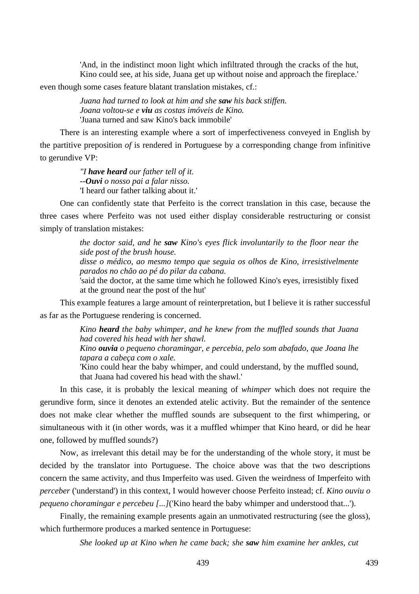'And, in the indistinct moon light which infiltrated through the cracks of the hut, Kino could see, at his side, Juana get up without noise and approach the fireplace.'

even though some cases feature blatant translation mistakes, cf.:

*Juana had turned to look at him and she saw his back stiffen. Joana voltou-se e viu as costas imóveis de Kino.*  'Juana turned and saw Kino's back immobile'

There is an interesting example where a sort of imperfectiveness conveyed in English by the partitive preposition *of* is rendered in Portuguese by a corresponding change from infinitive to gerundive VP:

> *"I have heard our father tell of it. --Ouvi o nosso pai a falar nisso.*  'I heard our father talking about it.'

One can confidently state that Perfeito is the correct translation in this case, because the three cases where Perfeito was not used either display considerable restructuring or consist simply of translation mistakes:

> *the doctor said, and he saw Kino's eyes flick involuntarily to the floor near the side post of the brush house. disse o médico, ao mesmo tempo que seguia os olhos de Kino, irresistivelmente parados no chão ao pé do pilar da cabana.*  'said the doctor, at the same time which he followed Kino's eyes, irresistibly fixed at the ground near the post of the hut'

This example features a large amount of reinterpretation, but I believe it is rather successful as far as the Portuguese rendering is concerned.

> *Kino heard the baby whimper, and he knew from the muffled sounds that Juana had covered his head with her shawl. Kino ouvia o pequeno choramingar, e percebia, pelo som abafado, que Joana lhe*

> *tapara a cabeça com o xale.*  'Kino could hear the baby whimper, and could understand, by the muffled sound, that Juana had covered his head with the shawl.'

In this case, it is probably the lexical meaning of *whimper* which does not require the gerundive form, since it denotes an extended atelic activity. But the remainder of the sentence does not make clear whether the muffled sounds are subsequent to the first whimpering, or simultaneous with it (in other words, was it a muffled whimper that Kino heard, or did he hear one, followed by muffled sounds?)

Now, as irrelevant this detail may be for the understanding of the whole story, it must be decided by the translator into Portuguese. The choice above was that the two descriptions concern the same activity, and thus Imperfeito was used. Given the weirdness of Imperfeito with *perceber* ('understand') in this context, I would however choose Perfeito instead; cf. *Kino ouviu o pequeno choramingar e percebeu [...]*('Kino heard the baby whimper and understood that...').

Finally, the remaining example presents again an unmotivated restructuring (see the gloss), which furthermore produces a marked sentence in Portuguese:

*She looked up at Kino when he came back; she saw him examine her ankles, cut*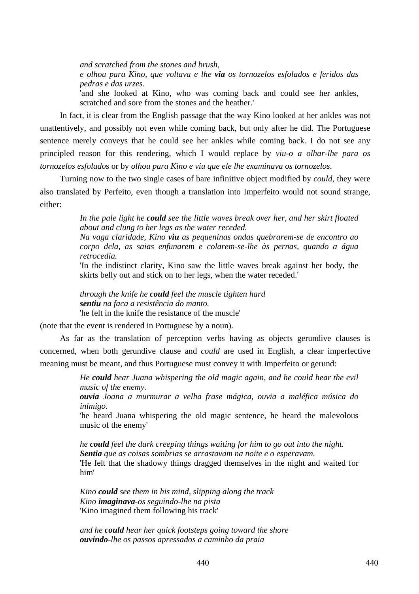*and scratched from the stones and brush,* 

*e olhou para Kino, que voltava e lhe via os tornozelos esfolados e feridos das pedras e das urzes.* 

'and she looked at Kino, who was coming back and could see her ankles, scratched and sore from the stones and the heather.'

In fact, it is clear from the English passage that the way Kino looked at her ankles was not unattentively, and possibly not even while coming back, but only after he did. The Portuguese sentence merely conveys that he could see her ankles while coming back. I do not see any principled reason for this rendering, which I would replace by *viu-o a olhar-lhe para os tornozelos esfolado*s or by *olhou para Kino e viu que ele lhe examinava os tornozelos*.

Turning now to the two single cases of bare infinitive object modified by *could*, they were also translated by Perfeito, even though a translation into Imperfeito would not sound strange, either:

> *In the pale light he could see the little waves break over her, and her skirt floated about and clung to her legs as the water receded.*

> *Na vaga claridade, Kino viu as pequeninas ondas quebrarem-se de encontro ao corpo dela, as saias enfunarem e colarem-se-lhe às pernas, quando a água retrocedia.*

> 'In the indistinct clarity, Kino saw the little waves break against her body, the skirts belly out and stick on to her legs, when the water receded.'

*through the knife he could feel the muscle tighten hard sentiu na faca a resistência do manto.*  'he felt in the knife the resistance of the muscle'

(note that the event is rendered in Portuguese by a noun).

As far as the translation of perception verbs having as objects gerundive clauses is concerned, when both gerundive clause and *could* are used in English, a clear imperfective meaning must be meant, and thus Portuguese must convey it with Imperfeito or gerund:

> *He could hear Juana whispering the old magic again, and he could hear the evil music of the enemy.*

> *ouvia Joana a murmurar a velha frase mágica, ouvia a maléfica música do inimigo.*

> 'he heard Juana whispering the old magic sentence, he heard the malevolous music of the enemy'

> *he could feel the dark creeping things waiting for him to go out into the night. Sentia que as coisas sombrias se arrastavam na noite e o esperavam.*  'He felt that the shadowy things dragged themselves in the night and waited for him'

*Kino could see them in his mind, slipping along the track Kino imaginava-os seguindo-lhe na pista*  'Kino imagined them following his track'

*and he could hear her quick footsteps going toward the shore ouvindo-lhe os passos apressados a caminho da praia*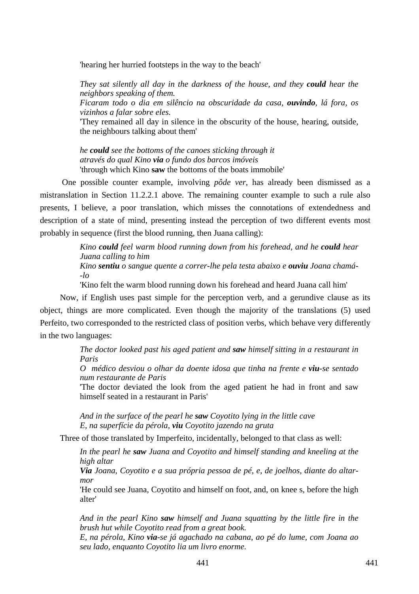'hearing her hurried footsteps in the way to the beach'

*They sat silently all day in the darkness of the house, and they could hear the neighbors speaking of them.* 

*Ficaram todo o dia em silêncio na obscuridade da casa, ouvindo, lá fora, os vizinhos a falar sobre eles.* 

'They remained all day in silence in the obscurity of the house, hearing, outside, the neighbours talking about them'

*he could see the bottoms of the canoes sticking through it através do qual Kino via o fundo dos barcos imóveis*  'through which Kino **saw** the bottoms of the boats immobile'

 One possible counter example, involving *pôde ver*, has already been dismissed as a mistranslation in Section 11.2.2.1 above. The remaining counter example to such a rule also presents, I believe, a poor translation, which misses the connotations of extendedness and description of a state of mind, presenting instead the perception of two different events most probably in sequence (first the blood running, then Juana calling):

> *Kino could feel warm blood running down from his forehead, and he could hear Juana calling to him Kino sentiu o sangue quente a correr-lhe pela testa abaixo e ouviu Joana chamá-*

*-lo* 

'Kino felt the warm blood running down his forehead and heard Juana call him'

Now, if English uses past simple for the perception verb, and a gerundive clause as its object, things are more complicated. Even though the majority of the translations (5) used Perfeito, two corresponded to the restricted class of position verbs, which behave very differently in the two languages:

> *The doctor looked past his aged patient and saw himself sitting in a restaurant in Paris*

> *O médico desviou o olhar da doente idosa que tinha na frente e viu-se sentado num restaurante de Paris*

> 'The doctor deviated the look from the aged patient he had in front and saw himself seated in a restaurant in Paris'

*And in the surface of the pearl he saw Coyotito lying in the little cave E, na superfície da pérola, viu Coyotito jazendo na gruta* 

Three of those translated by Imperfeito, incidentally, belonged to that class as well:

*In the pearl he saw Juana and Coyotito and himself standing and kneeling at the high altar* 

*Via Joana, Coyotito e a sua própria pessoa de pé, e, de joelhos, diante do altarmor* 

'He could see Juana, Coyotito and himself on foot, and, on knee s, before the high alter'

*And in the pearl Kino saw himself and Juana squatting by the little fire in the brush hut while Coyotito read from a great book.* 

*E, na pérola, Kino via-se já agachado na cabana, ao pé do lume, com Joana ao seu lado, enquanto Coyotito lia um livro enorme.*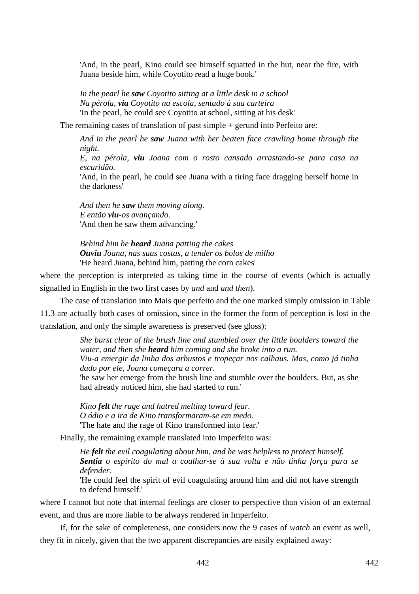'And, in the pearl, Kino could see himself squatted in the hut, near the fire, with Juana beside him, while Coyotito read a huge book.'

*In the pearl he saw Coyotito sitting at a little desk in a school Na pérola, via Coyotito na escola, sentado à sua carteira*  'In the pearl, he could see Coyotito at school, sitting at his desk'

The remaining cases of translation of past simple + gerund into Perfeito are:

*And in the pearl he saw Juana with her beaten face crawling home through the night.* 

*E, na pérola, viu Joana com o rosto cansado arrastando-se para casa na escuridão.* 

'And, in the pearl, he could see Juana with a tiring face dragging herself home in the darkness'

*And then he saw them moving along. E então viu-os avançando.*  'And then he saw them advancing.'

*Behind him he heard Juana patting the cakes Ouviu Joana, nas suas costas, a tender os bolos de milho*  'He heard Juana, behind him, patting the corn cakes'

where the perception is interpreted as taking time in the course of events (which is actually signalled in English in the two first cases by *and* and *and then*).

The case of translation into Mais que perfeito and the one marked simply omission in Table 11.3 are actually both cases of omission, since in the former the form of perception is lost in the translation, and only the simple awareness is preserved (see gloss):

> *She burst clear of the brush line and stumbled over the little boulders toward the water, and then she heard him coming and she broke into a run. Viu-a emergir da linha dos arbustos e tropeçar nos calhaus. Mas, como já tinha dado por ele, Joana começara a correr.*  'he saw her emerge from the brush line and stumble over the boulders. But, as she

> had already noticed him, she had started to run.'

*Kino felt the rage and hatred melting toward fear. O ódio e a ira de Kino transformaram-se em medo.*  'The hate and the rage of Kino transformed into fear.'

Finally, the remaining example translated into Imperfeito was:

*He felt the evil coagulating about him, and he was helpless to protect himself. Sentia o espírito do mal a coalhar-se à sua volta e não tinha força para se defender.* 

'He could feel the spirit of evil coagulating around him and did not have strength to defend himself.'

where I cannot but note that internal feelings are closer to perspective than vision of an external event, and thus are more liable to be always rendered in Imperfeito.

If, for the sake of completeness, one considers now the 9 cases of *watch* an event as well, they fit in nicely, given that the two apparent discrepancies are easily explained away: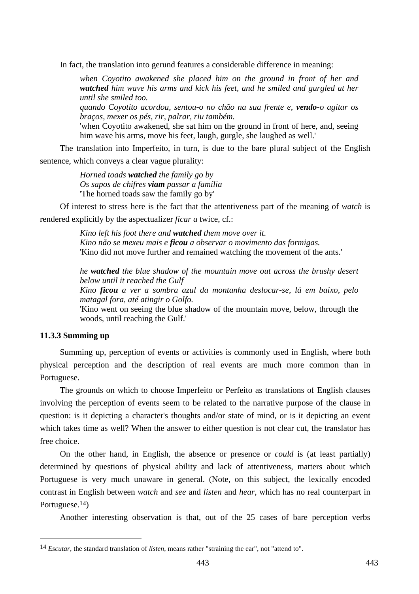In fact, the translation into gerund features a considerable difference in meaning:

*when Coyotito awakened she placed him on the ground in front of her and watched him wave his arms and kick his feet, and he smiled and gurgled at her until she smiled too.* 

*quando Coyotito acordou, sentou-o no chão na sua frente e, vendo-o agitar os braços, mexer os pés, rir, palrar, riu também.* 

'when Coyotito awakened, she sat him on the ground in front of here, and, seeing him wave his arms, move his feet, laugh, gurgle, she laughed as well.'

The translation into Imperfeito, in turn, is due to the bare plural subject of the English sentence, which conveys a clear vague plurality:

> *Horned toads watched the family go by Os sapos de chifres viam passar a família*  'The horned toads saw the family go by'

Of interest to stress here is the fact that the attentiveness part of the meaning of *watch* is rendered explicitly by the aspectualizer *ficar a* twice, cf.:

> *Kino left his foot there and watched them move over it. Kino não se mexeu mais e ficou a observar o movimento das formigas.*  'Kino did not move further and remained watching the movement of the ants.'

*he watched the blue shadow of the mountain move out across the brushy desert below until it reached the Gulf* 

*Kino ficou a ver a sombra azul da montanha deslocar-se, lá em baixo, pelo matagal fora, até atingir o Golfo.* 

'Kino went on seeing the blue shadow of the mountain move, below, through the woods, until reaching the Gulf.'

## **11.3.3 Summing up**

 $\overline{a}$ 

Summing up, perception of events or activities is commonly used in English, where both physical perception and the description of real events are much more common than in Portuguese.

The grounds on which to choose Imperfeito or Perfeito as translations of English clauses involving the perception of events seem to be related to the narrative purpose of the clause in question: is it depicting a character's thoughts and/or state of mind, or is it depicting an event which takes time as well? When the answer to either question is not clear cut, the translator has free choice.

On the other hand, in English, the absence or presence or *could* is (at least partially) determined by questions of physical ability and lack of attentiveness, matters about which Portuguese is very much unaware in general. (Note, on this subject, the lexically encoded contrast in English between *watch* and *see* and *listen* and *hear*, which has no real counterpart in Portuguese.14)

Another interesting observation is that, out of the 25 cases of bare perception verbs

<sup>14</sup> *Escutar*, the standard translation of *listen*, means rather "straining the ear", not "attend to".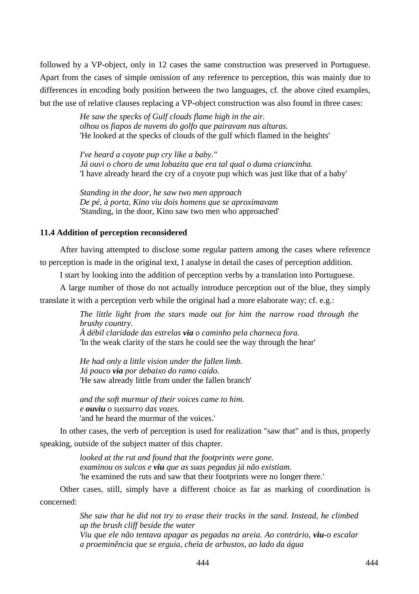followed by a VP-object, only in 12 cases the same construction was preserved in Portuguese. Apart from the cases of simple omission of any reference to perception, this was mainly due to differences in encoding body position between the two languages, cf. the above cited examples, but the use of relative clauses replacing a VP-object construction was also found in three cases:

> *He saw the specks of Gulf clouds flame high in the air. olhou os fiapos de nuvens do golfo que pairavam nas alturas.*  'He looked at the specks of clouds of the gulf which flamed in the heights'

*I've heard a coyote pup cry like a baby." Já ouvi o choro de uma lobazita que era tal qual o duma criancinha.*  'I have already heard the cry of a coyote pup which was just like that of a baby'

*Standing in the door, he saw two men approach De pé, à porta, Kino viu dois homens que se aproximavam*  'Standing, in the door, Kino saw two men who approached'

## **11.4 Addition of perception reconsidered**

After having attempted to disclose some regular pattern among the cases where reference to perception is made in the original text, I analyse in detail the cases of perception addition.

I start by looking into the addition of perception verbs by a translation into Portuguese.

A large number of those do not actually introduce perception out of the blue, they simply translate it with a perception verb while the original had a more elaborate way; cf. e.g.:

> *The little light from the stars made out for him the narrow road through the brushy country.*

*À débil claridade das estrelas via o caminho pela charneca fora.*  'In the weak clarity of the stars he could see the way through the hear'

*He had only a little vision under the fallen limb. Já pouco via por debaixo do ramo caído.*  'He saw already little from under the fallen branch'

*and the soft murmur of their voices came to him. e ouviu o sussurro das vozes.*  'and he heard the murmur of the voices.'

In other cases, the verb of perception is used for realization "saw that" and is thus, properly speaking, outside of the subject matter of this chapter.

> *looked at the rut and found that the footprints were gone. examinou os sulcos e viu que as suas pegadas já não existiam.*  'he examined the ruts and saw that their footprints were no longer there.'

Other cases, still, simply have a different choice as far as marking of coordination is concerned:

> *She saw that he did not try to erase their tracks in the sand. Instead, he climbed up the brush cliff beside the water Viu que ele não tentava apagar as pegadas na areia. Ao contrário, viu-o escalar a proeminência que se erguia, cheia de arbustos, ao lado da água*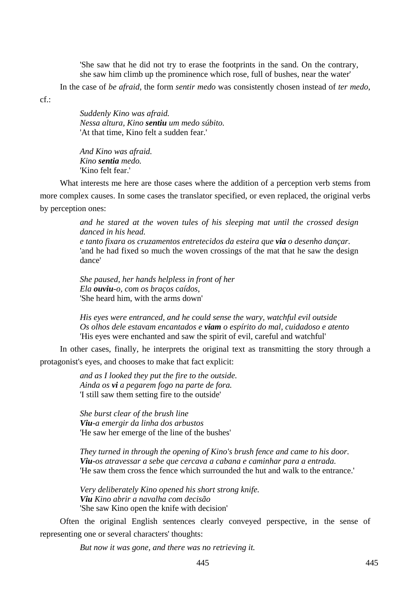'She saw that he did not try to erase the footprints in the sand. On the contrary, she saw him climb up the prominence which rose, full of bushes, near the water'

In the case of *be afraid*, the form *sentir medo* was consistently chosen instead of *ter medo*,

cf.:

*Suddenly Kino was afraid. Nessa altura, Kino sentiu um medo súbito.*  'At that time, Kino felt a sudden fear.'

*And Kino was afraid. Kino sentia medo.*  'Kino felt fear.'

What interests me here are those cases where the addition of a perception verb stems from more complex causes. In some cases the translator specified, or even replaced, the original verbs by perception ones:

> *and he stared at the woven tules of his sleeping mat until the crossed design danced in his head.*

> *e tanto fixara os cruzamentos entretecidos da esteira que via o desenho dançar.*  'and he had fixed so much the woven crossings of the mat that he saw the design dance'

*She paused, her hands helpless in front of her Ela ouviu-o, com os braços caídos,*  'She heard him, with the arms down'

*His eyes were entranced, and he could sense the wary, watchful evil outside Os olhos dele estavam encantados e viam o espírito do mal, cuidadoso e atento*  'His eyes were enchanted and saw the spirit of evil, careful and watchful'

In other cases, finally, he interprets the original text as transmitting the story through a protagonist's eyes, and chooses to make that fact explicit:

> *and as I looked they put the fire to the outside. Ainda os vi a pegarem fogo na parte de fora.*  'I still saw them setting fire to the outside'

*She burst clear of the brush line Viu-a emergir da linha dos arbustos*  'He saw her emerge of the line of the bushes'

*They turned in through the opening of Kino's brush fence and came to his door. Viu-os atravessar a sebe que cercava a cabana e caminhar para a entrada.*  'He saw them cross the fence which surrounded the hut and walk to the entrance.'

*Very deliberately Kino opened his short strong knife. Viu Kino abrir a navalha com decisão*  'She saw Kino open the knife with decision'

Often the original English sentences clearly conveyed perspective, in the sense of representing one or several characters' thoughts:

*But now it was gone, and there was no retrieving it.*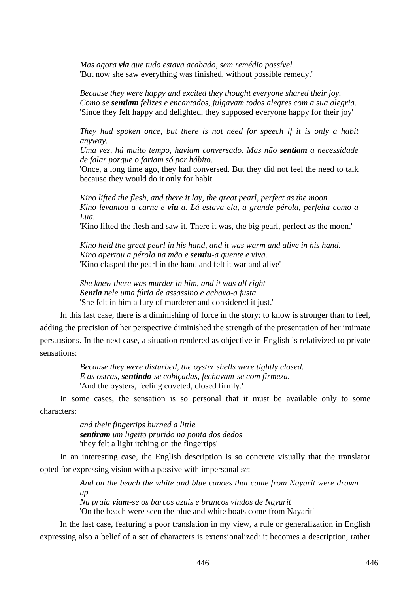*Mas agora via que tudo estava acabado, sem remédio possível.*  'But now she saw everything was finished, without possible remedy.'

*Because they were happy and excited they thought everyone shared their joy. Como se sentiam felizes e encantados, julgavam todos alegres com a sua alegria.*  'Since they felt happy and delighted, they supposed everyone happy for their joy'

*They had spoken once, but there is not need for speech if it is only a habit anyway.* 

*Uma vez, há muito tempo, haviam conversado. Mas não sentiam a necessidade de falar porque o fariam só por hábito.* 

'Once, a long time ago, they had conversed. But they did not feel the need to talk because they would do it only for habit.'

*Kino lifted the flesh, and there it lay, the great pearl, perfect as the moon. Kino levantou a carne e viu-a. Lá estava ela, a grande pérola, perfeita como a Lua.* 

'Kino lifted the flesh and saw it. There it was, the big pearl, perfect as the moon.'

*Kino held the great pearl in his hand, and it was warm and alive in his hand. Kino apertou a pérola na mão e sentiu-a quente e viva.*  'Kino clasped the pearl in the hand and felt it war and alive'

*She knew there was murder in him, and it was all right Sentia nele uma fúria de assassino e achava-a justa.*  'She felt in him a fury of murderer and considered it just.'

In this last case, there is a diminishing of force in the story: to know is stronger than to feel, adding the precision of her perspective diminished the strength of the presentation of her intimate persuasions. In the next case, a situation rendered as objective in English is relativized to private sensations:

> *Because they were disturbed, the oyster shells were tightly closed. E as ostras, sentindo-se cobiçadas, fechavam-se com firmeza.*  'And the oysters, feeling coveted, closed firmly.'

In some cases, the sensation is so personal that it must be available only to some characters:

> *and their fingertips burned a little sentiram um ligeito prurido na ponta dos dedos*  'they felt a light itching on the fingertips'

In an interesting case, the English description is so concrete visually that the translator opted for expressing vision with a passive with impersonal *se*:

> *And on the beach the white and blue canoes that came from Nayarit were drawn up*

*Na praia viam-se os barcos azuis e brancos vindos de Nayarit* 

'On the beach were seen the blue and white boats come from Nayarit'

In the last case, featuring a poor translation in my view, a rule or generalization in English expressing also a belief of a set of characters is extensionalized: it becomes a description, rather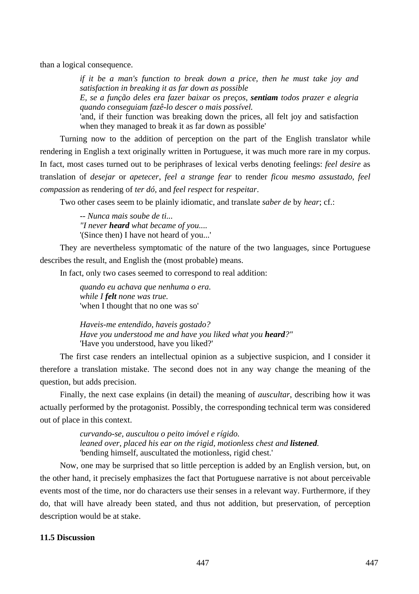than a logical consequence.

*if it be a man's function to break down a price, then he must take joy and satisfaction in breaking it as far down as possible E, se a função deles era fazer baixar os preços, sentiam todos prazer e alegria quando conseguiam fazê-lo descer o mais possível.* 

'and, if their function was breaking down the prices, all felt joy and satisfaction when they managed to break it as far down as possible'

Turning now to the addition of perception on the part of the English translator while rendering in English a text originally written in Portuguese, it was much more rare in my corpus. In fact, most cases turned out to be periphrases of lexical verbs denoting feelings: *feel desire* as translation of *desejar* or *apetecer*, *feel a strange fear* to render *ficou mesmo assustado*, *feel compassion* as rendering of *ter dó,* and *feel respect* for *respeitar*.

Two other cases seem to be plainly idiomatic, and translate *saber de* by *hear*; cf.:

*-- Nunca mais soube de ti... "I never heard what became of you....*  '(Since then) I have not heard of you...'

They are nevertheless symptomatic of the nature of the two languages, since Portuguese describes the result, and English the (most probable) means.

In fact, only two cases seemed to correspond to real addition:

*quando eu achava que nenhuma o era. while I felt none was true.*  'when I thought that no one was so'

*Haveis-me entendido, haveis gostado? Have you understood me and have you liked what you heard?"*  'Have you understood, have you liked?'

The first case renders an intellectual opinion as a subjective suspicion, and I consider it therefore a translation mistake. The second does not in any way change the meaning of the question, but adds precision.

Finally, the next case explains (in detail) the meaning of *auscultar*, describing how it was actually performed by the protagonist. Possibly, the corresponding technical term was considered out of place in this context.

> *curvando-se, auscultou o peito imóvel e rígido. leaned over, placed his ear on the rigid, motionless chest and listened.*  'bending himself, auscultated the motionless, rigid chest.'

Now, one may be surprised that so little perception is added by an English version, but, on the other hand, it precisely emphasizes the fact that Portuguese narrative is not about perceivable events most of the time, nor do characters use their senses in a relevant way. Furthermore, if they do, that will have already been stated, and thus not addition, but preservation, of perception description would be at stake.

# **11.5 Discussion**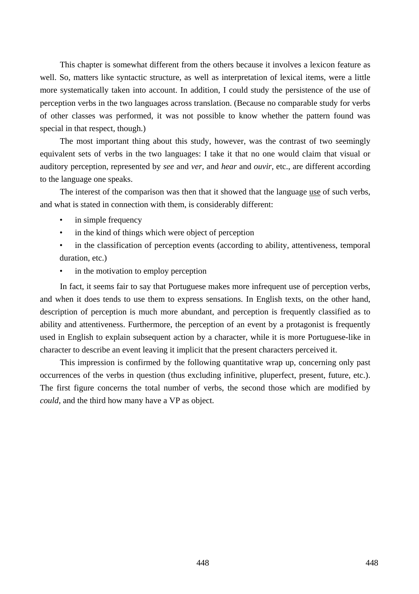This chapter is somewhat different from the others because it involves a lexicon feature as well. So, matters like syntactic structure, as well as interpretation of lexical items, were a little more systematically taken into account. In addition, I could study the persistence of the use of perception verbs in the two languages across translation. (Because no comparable study for verbs of other classes was performed, it was not possible to know whether the pattern found was special in that respect, though.)

The most important thing about this study, however, was the contrast of two seemingly equivalent sets of verbs in the two languages: I take it that no one would claim that visual or auditory perception, represented by *see* and *ver*, and *hear* and *ouvir*, etc., are different according to the language one speaks.

The interest of the comparison was then that it showed that the language use of such verbs, and what is stated in connection with them, is considerably different:

- in simple frequency
- in the kind of things which were object of perception
- in the classification of perception events (according to ability, attentiveness, temporal duration, etc.)
- in the motivation to employ perception

In fact, it seems fair to say that Portuguese makes more infrequent use of perception verbs, and when it does tends to use them to express sensations. In English texts, on the other hand, description of perception is much more abundant, and perception is frequently classified as to ability and attentiveness. Furthermore, the perception of an event by a protagonist is frequently used in English to explain subsequent action by a character, while it is more Portuguese-like in character to describe an event leaving it implicit that the present characters perceived it.

This impression is confirmed by the following quantitative wrap up, concerning only past occurrences of the verbs in question (thus excluding infinitive, pluperfect, present, future, etc.). The first figure concerns the total number of verbs, the second those which are modified by *could*, and the third how many have a VP as object.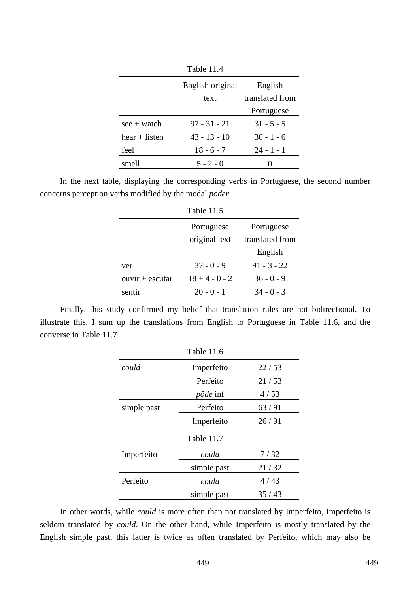|                 | English original | English         |
|-----------------|------------------|-----------------|
|                 | text             | translated from |
|                 |                  | Portuguese      |
| $see + watch$   | $97 - 31 - 21$   | $31 - 5 - 5$    |
| $hear + listen$ | $43 - 13 - 10$   | $30 - 1 - 6$    |
| feel            | $18 - 6 - 7$     | $24 - 1 - 1$    |
| smell           | $5 - 2 - 0$      |                 |

Table 11.4

In the next table, displaying the corresponding verbs in Portuguese, the second number concerns perception verbs modified by the modal *poder*.

| Table 11.5        |                  |                 |  |
|-------------------|------------------|-----------------|--|
|                   | Portuguese       | Portuguese      |  |
|                   | original text    | translated from |  |
|                   |                  | English         |  |
| ver               | $37 - 0 - 9$     | $91 - 3 - 22$   |  |
| $ouvir + escutar$ | $18 + 4 - 0 - 2$ | $36 - 0 - 9$    |  |
| sentir            | $20 - 0 - 1$     | $34 - 0 - 3$    |  |

Finally, this study confirmed my belief that translation rules are not bidirectional. To illustrate this, I sum up the translations from English to Portuguese in Table 11.6, and the converse in Table 11.7.

| Table 11.6 |  |  |
|------------|--|--|
|------------|--|--|

| could       | Imperfeito      | 22/53 |
|-------------|-----------------|-------|
|             | Perfeito        | 21/53 |
|             | <i>pôde</i> inf | 4/53  |
| simple past | Perfeito        | 63/91 |
|             | Imperfeito      | 26/91 |

| Table 11. |
|-----------|
|           |

| Imperfeito | could       | 7/32  |
|------------|-------------|-------|
|            | simple past | 21/32 |
| Perfeito   | could       | 4/43  |
|            | simple past | 35/43 |

In other words, while *could* is more often than not translated by Imperfeito, Imperfeito is seldom translated by *could*. On the other hand, while Imperfeito is mostly translated by the English simple past, this latter is twice as often translated by Perfeito, which may also be